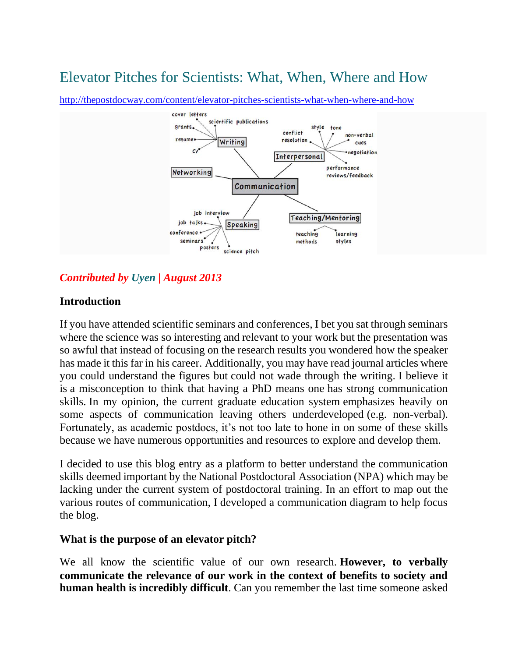# [Elevator Pitches for Scientists: What, When, Where and How](http://thepostdocway.com/content/elevator-pitches-scientists-what-when-where-and-how)



<http://thepostdocway.com/content/elevator-pitches-scientists-what-when-where-and-how>

# *Contributed by [Uyen](http://thepostdocway.com/team) | August 2013*

### **Introduction**

If you have attended scientific seminars and conferences, I bet you sat through seminars where the science was so interesting and relevant to your work but the presentation was so awful that instead of focusing on the research results you wondered how the speaker has made it this far in his career. Additionally, you may have read journal articles where you could understand the figures but could not wade through the writing. I believe it is a misconception to think that having a PhD means one has strong communication skills. In my opinion, the current graduate education system emphasizes heavily on some aspects of communication leaving others underdeveloped (e.g. non-verbal). Fortunately, as academic postdocs, it's not too late to hone in on some of these skills because we have numerous opportunities and resources to explore and develop them.

I decided to use this blog entry as a platform to better understand the communication skills deemed important by the National Postdoctoral Association (NPA) which may be lacking under the current system of postdoctoral training. In an effort to map out the various routes of communication, I developed a communication diagram to help focus the blog.

### **What is the purpose of an elevator pitch?**

We all know the scientific value of our own research. **However, to verbally communicate the relevance of our work in the context of benefits to society and human health is incredibly difficult**. Can you remember the last time someone asked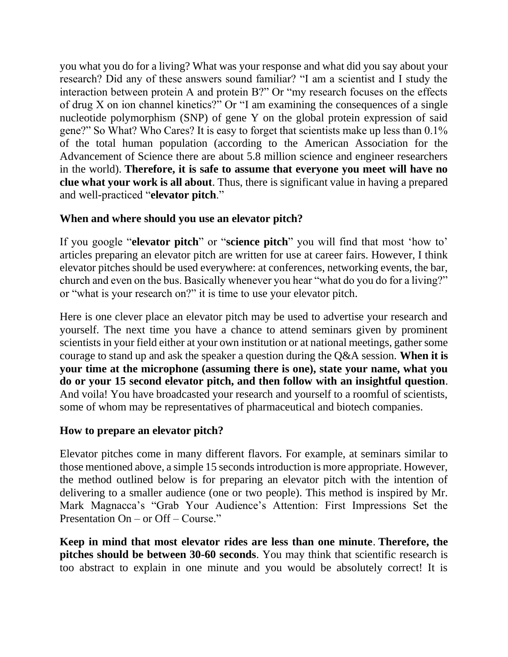you what you do for a living? What was your response and what did you say about your research? Did any of these answers sound familiar? "I am a scientist and I study the interaction between protein A and protein B?" Or "my research focuses on the effects of drug X on ion channel kinetics?" Or "I am examining the consequences of a single nucleotide polymorphism (SNP) of gene Y on the global protein expression of said gene?" So What? Who Cares? It is easy to forget that scientists make up less than 0.1% of the total human population (according to the American Association for the Advancement of Science there are about 5.8 million science and engineer researchers in the world). **Therefore, it is safe to assume that everyone you meet will have no clue what your work is all about**. Thus, there is significant value in having a prepared and well-practiced "**elevator pitch**."

# **When and where should you use an elevator pitch?**

If you google "**elevator pitch**" or "**science pitch**" you will find that most 'how to' articles preparing an elevator pitch are written for use at career fairs. However, I think elevator pitches should be used everywhere: at conferences, networking events, the bar, church and even on the bus. Basically whenever you hear "what do you do for a living?" or "what is your research on?" it is time to use your elevator pitch.

Here is one clever place an elevator pitch may be used to advertise your research and yourself. The next time you have a chance to attend seminars given by prominent scientists in your field either at your own institution or at national meetings, gather some courage to stand up and ask the speaker a question during the Q&A session. **When it is your time at the microphone (assuming there is one), state your name, what you do or your 15 second elevator pitch, and then follow with an insightful question**. And voila! You have broadcasted your research and yourself to a roomful of scientists, some of whom may be representatives of pharmaceutical and biotech companies.

## **How to prepare an elevator pitch?**

Elevator pitches come in many different flavors. For example, at seminars similar to those mentioned above, a simple 15 seconds introduction is more appropriate. However, the method outlined below is for preparing an elevator pitch with the intention of delivering to a smaller audience (one or two people). This method is inspired by Mr. Mark Magnacca's "Grab Your Audience's Attention: First Impressions Set the Presentation On – or Off – Course."

**Keep in mind that most elevator rides are less than one minute**. **Therefore, the pitches should be between 30-60 seconds**. You may think that scientific research is too abstract to explain in one minute and you would be absolutely correct! It is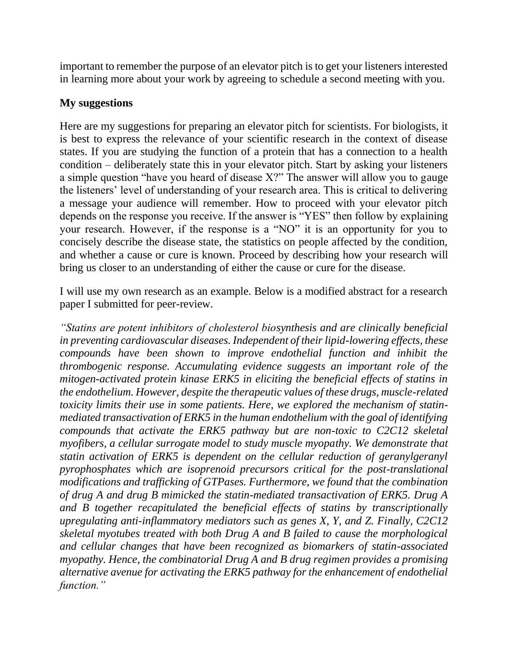important to remember the purpose of an elevator pitch is to get your listeners interested in learning more about your work by agreeing to schedule a second meeting with you.

## **My suggestions**

Here are my suggestions for preparing an elevator pitch for scientists. For biologists, it is best to express the relevance of your scientific research in the context of disease states. If you are studying the function of a protein that has a connection to a health condition – deliberately state this in your elevator pitch. Start by asking your listeners a simple question "have you heard of disease X?" The answer will allow you to gauge the listeners' level of understanding of your research area. This is critical to delivering a message your audience will remember. How to proceed with your elevator pitch depends on the response you receive. If the answer is "YES" then follow by explaining your research. However, if the response is a "NO" it is an opportunity for you to concisely describe the disease state, the statistics on people affected by the condition, and whether a cause or cure is known. Proceed by describing how your research will bring us closer to an understanding of either the cause or cure for the disease.

I will use my own research as an example. Below is a modified abstract for a research paper I submitted for peer-review.

*"Statins are potent inhibitors of cholesterol biosynthesis and are clinically beneficial in preventing cardiovascular diseases. Independent of their lipid-lowering effects, these compounds have been shown to improve endothelial function and inhibit the thrombogenic response. Accumulating evidence suggests an important role of the mitogen-activated protein kinase ERK5 in eliciting the beneficial effects of statins in the endothelium. However, despite the therapeutic values of these drugs, muscle-related toxicity limits their use in some patients. Here, we explored the mechanism of statinmediated transactivation of ERK5 in the human endothelium with the goal of identifying compounds that activate the ERK5 pathway but are non-toxic to C2C12 skeletal myofibers, a cellular surrogate model to study muscle myopathy. We demonstrate that statin activation of ERK5 is dependent on the cellular reduction of geranylgeranyl pyrophosphates which are isoprenoid precursors critical for the post-translational modifications and trafficking of GTPases. Furthermore, we found that the combination of drug A and drug B mimicked the statin-mediated transactivation of ERK5. Drug A and B together recapitulated the beneficial effects of statins by transcriptionally upregulating anti-inflammatory mediators such as genes X, Y, and Z. Finally, C2C12 skeletal myotubes treated with both Drug A and B failed to cause the morphological and cellular changes that have been recognized as biomarkers of statin-associated myopathy. Hence, the combinatorial Drug A and B drug regimen provides a promising alternative avenue for activating the ERK5 pathway for the enhancement of endothelial function."*